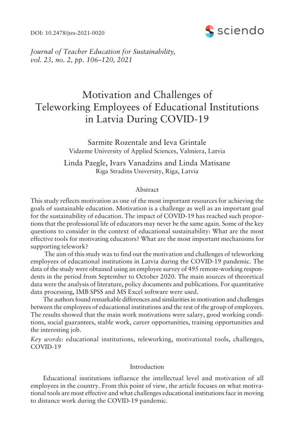DOI: 10.2478/jtes-2021-0020



*Journal of Teacher Education for Sustainability, vol.* 23, no. 2, pp. 106-120, 2021

# Motivation and Challenges of Teleworking Employees of Educational Institutions in Latvia During COVID-19

Sarmite Rozentale and Ieva Grintale Vidzeme University of Applied Sciences, Valmiera, Latvia

Linda Paegle, Ivars Vanadzins and Linda Matisane Riga Stradins University, Riga, Latvia

#### Abstract

This study reflects motivation as one of the most important resources for achieving the goals of sustainable education. Motivation is a challenge as well as an important goal for the sustainability of education. The impact of COVID-19 has reached such proportions that the professional life of educators may never be the same again. Some of the key questions to consider in the context of educational sustainability: What are the most effective tools for motivating educators? What are the most important mechanisms for supporting telework?

 The aim of this study was to find out the motivation and challenges of teleworking employees of educational institutions in Latvia during the COVID-19 pandemic. The data of the study were obtained using an employee survey of 495 remote-working respondents in the period from September to October 2020. The main sources of theoretical data were the analysis of literature, policy documents and publications. For quantitative data processing, IMB SPSS and MS Excel software were used.

The authors found remarkable differences and similarities in motivation and challenges between the employees of educational institutions and the rest of the group of employees. The results showed that the main work motivations were salary, good working conditions, social guarantees, stable work, career opportunities, training opportunities and the interesting job.

*Key words*: educational institutions, teleworking, motivational tools, challenges, COVID-19

## Introduction

Educational institutions influence the intellectual level and motivation of all employees in the country. From this point of view, the article focuses on what motivational tools are most effective and what challenges educational institutions face in moving to distance work during the COVID-19 pandemic.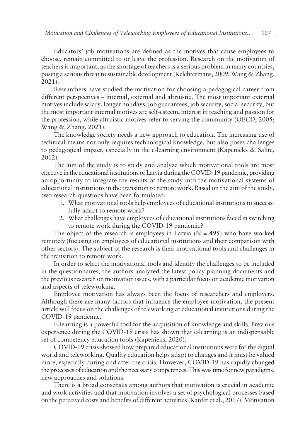Educators' job motivations are defined as the motives that cause employees to choose, remain committed to or leave the profession. Research on the motivation of teachers is important, as the shortage of teachers is a serious problem in many countries, posing a serious threat to sustainable development (Kelchtermans, 2009; Wang & Zhang, 2021).

Researchers have studied the motivation for choosing a pedagogical career from different perspectives – internal, external and altruistic. The most important external motives include salary, longer holidays, job guarantees, job security, social security, but the most important internal motives are self-esteem, interest in teaching and passion for the profession, while altruistic motives refer to serving the community (OECD, 2005; Wang & Zhang, 2021).

The knowledge society needs a new approach to education. The increasing use of technical means not only requires technological knowledge, but also poses challenges to pedagogical impact, especially in the e-learning environment (Kapenieks & Salite, 2012).

The aim of the study is to study and analyze which motivational tools are most effective in the educational institutions of Latvia during the COVID-19 pandemic, providing an opportunity to integrate the results of the study into the motivational systems of educational institutions in the transition to remote work. Based on the aim of the study, two research questions have been formulated:

- 1. What motivational tools help employees of educational institutions to successfully adapt to remote work?
- 2. What challenges have employees of educational institutions faced in switching to remote work during the COVID-19 pandemic?

The object of the research is employees in Latvia ( $N = 495$ ) who have worked remotely (focusing on employees of educational institutions and their comparison with other sectors). The subject of the research is their motivational tools and challenges in the transition to remote work.

In order to select the motivational tools and identify the challenges to be included in the questionnaires, the authors analyzed the latest policy planning documents and the previous research on motivation issues, with a particular focus on academic motivation and aspects of teleworking.

Employee motivation has always been the focus of researchers and employers. Although there are many factors that influence the employee motivation, the present article will focus on the challenges of teleworking at educational institutions during the COVID-19 pandemic.

E-learning is a powerful tool for the acquisition of knowledge and skills. Previous experience during the COVID-19 crisis has shown that e-learning is an indispensable set of competency education tools (Kapenieks, 2020).

COVID-19 crisis showed how prepared educational institutions were for the digital world and teleworking. Quality education helps adapt to changes and it must be valued more, especially during and after the crisis. However, COVID-19 has rapidly changed the processes of education and the necessary competences. This was time for new paradigms, new approaches and solutions.

There is a broad consensus among authors that motivation is crucial in academic and work activities and that motivation involves a set of psychological processes based on the perceived costs and benefits of different activities (Kanfer et al., 2017). Motivation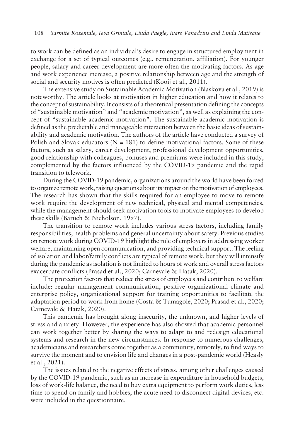to work can be defined as an individual's desire to engage in structured employment in exchange for a set of typical outcomes (e.g., remuneration, affiliation). For younger people, salary and career development are more often the motivating factors. As age and work experience increase, a positive relationship between age and the strength of social and security motives is often predicted (Kooij et al., 2011).

The extensive study on Sustainable Academic Motivation (Blaskova et al., 2019) is noteworthy. The article looks at motivation in higher education and how it relates to the concept of sustainability. It consists of a theoretical presentation defining the concepts of "sustainable motivation" and "academic motivation", as well as explaining the concept of "sustainable academic motivation". The sustainable academic motivation is defined as the predictable and manageable interaction between the basic ideas of sustainability and academic motivation. The authors of the article have conducted a survey of Polish and Slovak educators ( $N = 181$ ) to define motivational factors. Some of these factors, such as salary, career development, professional development opportunities, good relationship with colleagues, bonuses and premiums were included in this study, complemented by the factors influenced by the COVID-19 pandemic and the rapid transition to telework.

During the COVID-19 pandemic, organizations around the world have been forced to organize remote work, raising questions about its impact on the motivation of employees. The research has shown that the skills required for an employee to move to remote work require the development of new technical, physical and mental competencies, while the management should seek motivation tools to motivate employees to develop these skills (Baruch & Nicholson, 1997).

The transition to remote work includes various stress factors, including family responsibilities, health problems and general uncertainty about safety. Previous studies on remote work during COVID-19 highlight the role of employers in addressing worker welfare, maintaining open communication, and providing technical support. The feeling of isolation and labor/family conflicts are typical of remote work, but they will intensify during the pandemic as isolation is not limited to hours of work and overall stress factors exacerbate conflicts (Prasad et al., 2020; Carnevale & Hatak, 2020).

The protection factors that reduce the stress of employees and contribute to welfare include: regular management communication, positive organizational climate and enterprise policy, organizational support for training opportunities to facilitate the adaptation period to work from home (Costa & Tumagole, 2020; Prasad et al., 2020; Carnevale & Hatak, 2020).

This pandemic has brought along insecurity, the unknown, and higher levels of stress and anxiety. However, the experience has also showed that academic personnel can work together better by sharing the ways to adapt to and redesign educational systems and research in the new circumstances. In response to numerous challenges, academicians and researchers come together as a community, remotely, to find ways to survive the moment and to envision life and changes in a post-pandemic world (Heasly et al., 2021).

The issues related to the negative effects of stress, among other challenges caused by the COVID-19 pandemic, such as an increase in expenditure in household budgets, loss of work-life balance, the need to buy extra equipment to perform work duties, less time to spend on family and hobbies, the acute need to disconnect digital devices, etc. were included in the questionnaire.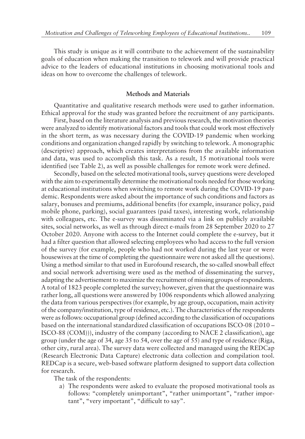This study is unique as it will contribute to the achievement of the sustainability goals of education when making the transition to telework and will provide practical advice to the leaders of educational institutions in choosing motivational tools and ideas on how to overcome the challenges of telework.

## **Methods and Materials**

Quantitative and qualitative research methods were used to gather information. Ethical approval for the study was granted before the recruitment of any participants.

First, based on the literature analysis and previous research, the motivation theories were analyzed to identify motivational factors and tools that could work most effectively in the short term, as was necessary during the COVID-19 pandemic when working conditions and organization changed rapidly by switching to telework. A monographic (descriptive) approach, which creates interpretations from the available information and data, was used to accomplish this task. As a result, 15 motivational tools were identified (see Table 2), as well as possible challenges for remote work were defined.

Secondly, based on the selected motivational tools, survey questions were developed with the aim to experimentally determine the motivational tools needed for those working at educational institutions when switching to remote work during the COVID-19 pandemic. Respondents were asked about the importance of such conditions and factors as salary, bonuses and premiums, additional benefits (for example, insurance policy, paid mobile phone, parking), social guarantees (paid taxes), interesting work, relationship with colleagues, etc. The e-survey was disseminated via a link on publicly available sites, social networks, as well as through direct e-mails from 28 September 2020 to 27 October 2020. Anyone with access to the Internet could complete the e-survey, but it had a filter question that allowed selecting employees who had access to the full version of the survey (for example, people who had not worked during the last year or were housewives at the time of completing the questionnaire were not asked all the questions). Using a method similar to that used in Eurofound research, the so-called snowball effect and social network advertising were used as the method of disseminating the survey, adapting the advertisement to maximize the recruitment of missing groups of respondents. A total of 1823 people completed the survey; however, given that the questionnaire was rather long, all questions were answered by 1006 respondents which allowed analyzing the data from various perspectives (for example, by age group, occupation, main activity of the company/institution, type of residence, etc.). The characteristics of the respondents were as follows: occupational group (defined according to the classification of occupations based on the international standardized classification of occupations ISCO-08 (2010 – ISCO-88 (COM))), industry of the company (according to NACE 2 classification), age group (under the age of 34, age 35 to 54, over the age of 55) and type of residence (Riga, other city, rural area). The survey data were collected and managed using the REDCap (Research Electronic Data Capture) electronic data collection and compilation tool. REDCap is a secure, web-based software platform designed to support data collection for research.

The task of the respondents:

a) The respondents were asked to evaluate the proposed motivational tools as follows: "completely unimportant", "rather unimportant", "rather important", "very important", "difficult to say".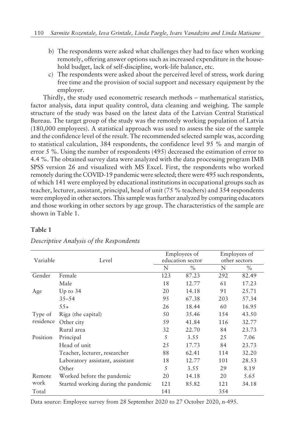- b) The respondents were asked what challenges they had to face when working remotely, offering answer options such as increased expenditure in the household budget, lack of self-discipline, work-life balance, etc.
- c) The respondents were asked about the perceived level of stress, work during free time and the provision of social support and necessary equipment by the employer.

Thirdly, the study used econometric research methods – mathematical statistics, factor analysis, data input quality control, data cleaning and weighing. The sample structure of the study was based on the latest data of the Latvian Central Statistical Bureau. The target group of the study was the remotely working population of Latvia (180,000 employees). A statistical approach was used to assess the size of the sample and the confidence level of the result. The recommended selected sample was, according to statistical calculation, 384 respondents, the confidence level 95 % and margin of error 5 %. Using the number of respondents (495) decreased the estimation of error to 4.4 %. The obtained survey data were analyzed with the data processing program IMB SPSS version 26 and visualized with MS Excel. First, the respondents who worked remotely during the COVID-19 pandemic were selected; there were 495 such respondents, of which 141 were employed by educational institutions in occupational groups such as teacher, lecturer, assistant, principal, head of unit (75 % teachers) and 354 respondents were employed in other sectors. This sample was further analyzed by comparing educators and those working in other sectors by age group. The characteristics of the sample are shown in Table 1.

## **Table 1**

|           |                                     |     | Employees of     | Employees of  |               |
|-----------|-------------------------------------|-----|------------------|---------------|---------------|
| Variable  | Level                               |     | education sector | other sectors |               |
|           |                                     | N   | $\%$             | N             | $\frac{0}{0}$ |
| Gender    | Female                              | 123 | 87.23            | 292           | 82.49         |
|           | Male                                | 18  | 12.77            | 61            | 17.23         |
| Age       | Up to $34$                          | 20  | 14.18            | 91            | 25.71         |
|           | $35 - 54$                           | 95  | 67.38            | 203           | 57.34         |
|           | $55+$                               | 26  | 18.44            | 60            | 16.95         |
| Type of   | Riga (the capital)                  | 50  | 35.46            | 154           | 43.50         |
| residence | Other city                          | 59  | 41.84            | 116           | 32.77         |
|           | Rural area                          | 32  | 22.70            | 84            | 23.73         |
| Position  | Principal                           | 5   | 3.55             | 25            | 7.06          |
|           | Head of unit                        | 25  | 17.73            | 84            | 23.73         |
|           | Teacher, lecturer, researcher       | 88  | 62.41            | 114           | 32.20         |
|           | Laboratory assistant, assistant     | 18  | 12.77            | 101           | 28.53         |
|           | Other                               | 5   | 3.55             | 29            | 8.19          |
| Remote    | Worked before the pandemic          | 20  | 14.18            | 20            | 5.65          |
| work      | Started working during the pandemic | 121 | 85.82            | 121           | 34.18         |
| Total     |                                     | 141 |                  | 354           |               |

## *Descriptive Analysis of the Respondents*

Data source: Employee survey from 28 September 2020 to 27 October 2020, n-495.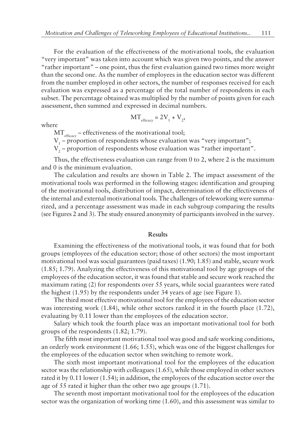For the evaluation of the effectiveness of the motivational tools, the evaluation "very important" was taken into account which was given two points, and the answer "rather important" – one point, thus the first evaluation gained two times more weight than the second one. As the number of employees in the education sector was different from the number employed in other sectors, the number of responses received for each evaluation was expressed as a percentage of the total number of respondents in each subset. The percentage obtained was multiplied by the number of points given for each assessment, then summed and expressed in decimal numbers.

$$
MT_{\text{efficacy}} = 2V_1 + V_2,
$$

where

 $MT_{efficacy}$  – effectiveness of the motivational tool;

 $V_1$  – proportion of respondents whose evaluation was "very important";

 $V_{2}$  – proportion of respondents whose evaluation was "rather important".

Thus, the effectiveness evaluation can range from 0 to 2, where 2 is the maximum and 0 is the minimum evaluation.

The calculation and results are shown in Table 2. The impact assessment of the motivational tools was performed in the following stages: identification and grouping of the motivational tools, distribution of impact, determination of the effectiveness of the internal and external motivational tools. The challenges of teleworking were summarized, and a percentage assessment was made in each subgroup comparing the results (see Figures 2 and 3). The study ensured anonymity of participants involved in the survey.

#### **Results**

Examining the effectiveness of the motivational tools, it was found that for both groups (employees of the education sector; those of other sectors) the most important motivational tool was social guarantees (paid taxes) (1.90; 1.85) and stable, secure work (1.85; 1.79). Analyzing the effectiveness of this motivational tool by age groups of the employees of the education sector, it was found that stable and secure work reached the maximum rating (2) for respondents over 55 years, while social guarantees were rated the highest (1.95) by the respondents under 34 years of age (see Figure 1).

The third most effective motivational tool for the employees of the education sector was interesting work (1.84), while other sectors ranked it in the fourth place (1.72), evaluating by 0.11 lower than the employees of the education sector.

Salary which took the fourth place was an important motivational tool for both groups of the respondents (1.82; 1.79).

The fifth most important motivational tool was good and safe working conditions, an orderly work environment (1.66; 1.55), which was one of the biggest challenges for the employees of the education sector when switching to remote work.

The sixth most important motivational tool for the employees of the education sector was the relationship with colleagues (1.65), while those employed in other sectors rated it by 0.11 lower (1.54); in addition, the employees of the education sector over the age of 55 rated it higher than the other two age groups (1.71).

The seventh most important motivational tool for the employees of the education sector was the organization of working time (1.60), and this assessment was similar to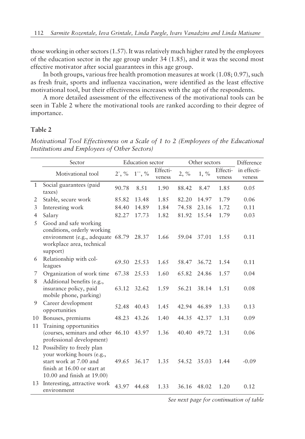those working in other sectors (1.57). It was relatively much higher rated by the employees of the education sector in the age group under 34 (1.85), and it was the second most effective motivator after social guarantees in this age group.

In both groups, various free health promotion measures at work (1.08; 0.97), such as fresh fruit, sports and influenza vaccination, were identified as the least effective motivational tool, but their effectiveness increases with the age of the respondents.

A more detailed assessment of the effectiveness of the motivational tools can be seen in Table 2 where the motivational tools are ranked according to their degree of importance.

## **Table 2**

*Motivational Tool Effectiveness on a Scale of 1 to 2 (Employees of the Educational Institutions and Employees of Other Sectors)*

|              | Sector                                                                                                                                         | <b>Education</b> sector |                        | Other sectors      |         |         | Difference         |                       |
|--------------|------------------------------------------------------------------------------------------------------------------------------------------------|-------------------------|------------------------|--------------------|---------|---------|--------------------|-----------------------|
|              | Motivational tool                                                                                                                              | $2^*$ , %               | $1^{\ast \ast}, \, \%$ | Effecti-<br>veness | $2, \%$ | $1, \%$ | Effecti-<br>veness | in effecti-<br>veness |
| $\mathbf{1}$ | Social guarantees (paid<br>taxes)                                                                                                              | 90.78                   | 8.51                   | 1.90               | 88.42   | 8.47    | 1.85               | 0.05                  |
| 2            | Stable, secure work                                                                                                                            | 85.82                   | 13.48                  | 1.85               | 82.20   | 14.97   | 1.79               | 0.06                  |
| 3            | Interesting work                                                                                                                               | 84.40                   | 14.89                  | 1.84               | 74.58   | 23.16   | 1.72               | 0.11                  |
| 4            | Salary                                                                                                                                         | 82.27                   | 17.73                  | 1.82               | 81.92   | 15.54   | 1.79               | 0.03                  |
| 5            | Good and safe working<br>conditions, orderly working<br>environment (e.g., adequate 68.79<br>workplace area, technical<br>support)             |                         | 28.37                  | 1.66               | 59.04   | 37.01   | 1.55               | 0.11                  |
| 6            | Relationship with col-<br>leagues                                                                                                              | 69.50                   | 2.5.53                 | 1.65               | 58.47   | 36.72   | 1.54               | 0.11                  |
| 7            | Organization of work time                                                                                                                      | 67.38                   | 25.53                  | 1.60               | 65.82   | 24.86   | 1.57               | 0.04                  |
| 8            | Additional benefits (e.g.,<br>insurance policy, paid<br>mobile phone, parking)                                                                 | 63.12                   | 32.62                  | 1.59               | 56.21   | 38.14   | 1.51               | 0.08                  |
| 9            | Career development<br>opportunities                                                                                                            | 52.48                   | 40.43                  | 1.45               | 42.94   | 46.89   | 1.33               | 0.13                  |
| 10           | Bonuses, premiums                                                                                                                              | 48.23                   | 43.26                  | 1.40               | 44.35   | 42.37   | 1.31               | 0.09                  |
| 11           | Training opportunities<br>(courses, seminars and other 46.10)<br>professional development)                                                     |                         | 43.97                  | 1.36               | 40.40   | 49.72   | 1.31               | 0.06                  |
| 12           | Possibility to freely plan<br>your working hours (e.g.,<br>start work at 7.00 and<br>finish at 16.00 or start at<br>10.00 and finish at 19.00) | 49.65                   | 36.17                  | 1.35               | 54.52   | 35.03   | 1.44               | $-0.09$               |
| 13           | Interesting, attractive work<br>environment                                                                                                    | 43.97                   | 44.68                  | 1.33               | 36.16   | 48.02   | 1.20               | 0.12                  |

*See next page for continuation of table*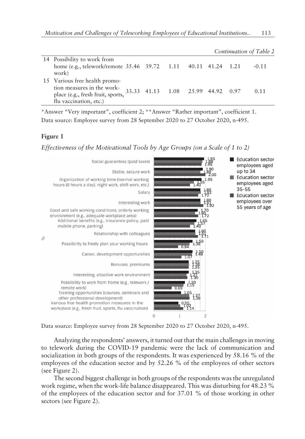|                                                                                                                            |                                   |  |  | Continuation of Table 2 |
|----------------------------------------------------------------------------------------------------------------------------|-----------------------------------|--|--|-------------------------|
| 14 Possibility to work from<br>home (e.g., telework/remote 35.46 39.72 1.11 40.11 41.24 1.21<br>work)                      |                                   |  |  | $-0.11$                 |
| 15 Various free health promo-<br>tion measures in the work-<br>place (e.g., fresh fruit, sports,<br>flu vaccination, etc.) | 33.33 41.13 1.08 25.99 44.92 0.97 |  |  | 0.11                    |

\*Answer "Very important", coefficient 2; \*\*Answer "Rather important", coefficient 1. Data source: Employee survey from 28 September 2020 to 27 October 2020, n-495.

#### **Figure 1**

*Effectiveness of the Motivational Tools by Age Groups (on a Scale of 1 to 2)*



Data source: Employee survey from 28 September 2020 to 27 October 2020, n-495.

Analyzing the respondents' answers, it turned out that the main challenges in moving to telework during the COVID-19 pandemic were the lack of communication and socialization in both groups of the respondents. It was experienced by 58.16 % of the employees of the education sector and by 52.26 % of the employees of other sectors (see Figure 2).

The second biggest challenge in both groups of the respondents was the unregulated work regime, when the work-life balance disappeared. This was disturbing for 48.23 % of the employees of the education sector and for 37.01 % of those working in other sectors (see Figure 2).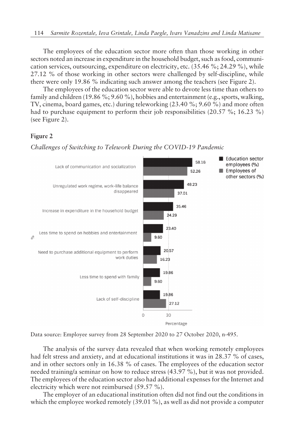The employees of the education sector more often than those working in other sectors noted an increase in expenditure in the household budget, such as food, communication services, outsourcing, expenditure on electricity, etc. (35.46 %; 24.29 %), while 27.12 % of those working in other sectors were challenged by self-discipline, while there were only 19.86 % indicating such answer among the teachers (see Figure 2).

The employees of the education sector were able to devote less time than others to family and children (19.86 %; 9.60 %), hobbies and entertainment (e.g., sports, walking, TV, cinema, board games, etc.) during teleworking (23.40 %; 9.60 %) and more often had to purchase equipment to perform their job responsibilities (20.57 %; 16.23 %) (see Figure 2).

#### **Figure 2**

*Challenges of Switching to Telework During the COVID-19 Pandemic*



Data source: Employee survey from 28 September 2020 to 27 October 2020, n-495.

The analysis of the survey data revealed that when working remotely employees had felt stress and anxiety, and at educational institutions it was in 28.37 % of cases, and in other sectors only in 16.38 % of cases. The employees of the education sector needed training/a seminar on how to reduce stress (43.97 %), but it was not provided. The employees of the education sector also had additional expenses for the Internet and electricity which were not reimbursed (59.57 %).

The employer of an educational institution often did not find out the conditions in which the employee worked remotely (39.01 %), as well as did not provide a computer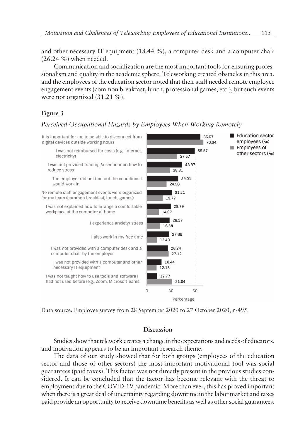and other necessary IT equipment (18.44 %), a computer desk and a computer chair (26.24 %) when needed.

Communication and socialization are the most important tools for ensuring professionalism and quality in the academic sphere. Teleworking created obstacles in this area, and the employees of the education sector noted that their staff needed remote employee engagement events (common breakfast, lunch, professional games, etc.), but such events were not organized (31.21 %).

## **Figure 3**



*Perceived Occupational Hazards by Employees When Working Remotely*

Data source: Employee survey from 28 September 2020 to 27 October 2020, n-495.

# **Discussion**

Studies show that telework creates a change in the expectations and needs of educators, and motivation appears to be an important research theme.

The data of our study showed that for both groups (employees of the education sector and those of other sectors) the most important motivational tool was social guarantees (paid taxes). This factor was not directly present in the previous studies considered. It can be concluded that the factor has become relevant with the threat to employment due to the COVID-19 pandemic. More than ever, this has proved important when there is a great deal of uncertainty regarding downtime in the labor market and taxes paid provide an opportunity to receive downtime benefits as well as other social guarantees.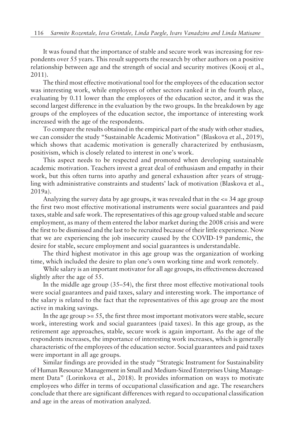It was found that the importance of stable and secure work was increasing for respondents over 55 years. This result supports the research by other authors on a positive relationship between age and the strength of social and security motives (Kooij et al., 2011).

The third most effective motivational tool for the employees of the education sector was interesting work, while employees of other sectors ranked it in the fourth place, evaluating by 0.11 lower than the employees of the education sector, and it was the second largest difference in the evaluation by the two groups. In the breakdown by age groups of the employees of the education sector, the importance of interesting work increased with the age of the respondents.

To compare the results obtained in the empirical part of the study with other studies, we can consider the study "Sustainable Academic Motivation" (Blaskova et al., 2019), which shows that academic motivation is generally characterized by enthusiasm, positivism, which is closely related to interest in one's work.

This aspect needs to be respected and promoted when developing sustainable academic motivation. Teachers invest a great deal of enthusiasm and empathy in their work, but this often turns into apathy and general exhaustion after years of struggling with administrative constraints and students' lack of motivation (Blaskova et al., 2019a).

Analyzing the survey data by age groups, it was revealed that in the  $\epsilon$  = 34 age group the first two most effective motivational instruments were social guarantees and paid taxes, stable and safe work. The representatives of this age group valued stable and secure employment, as many of them entered the labor market during the 2008 crisis and were the first to be dismissed and the last to be recruited because of their little experience. Now that we are experiencing the job insecurity caused by the COVID-19 pandemic, the desire for stable, secure employment and social guarantees is understandable.

The third highest motivator in this age group was the organization of working time, which included the desire to plan one's own working time and work remotely.

While salary is an important motivator for all age groups, its effectiveness decreased slightly after the age of 55.

In the middle age group  $(35–54)$ , the first three most effective motivational tools were social guarantees and paid taxes, salary and interesting work. The importance of the salary is related to the fact that the representatives of this age group are the most active in making savings.

In the age group  $>= 55$ , the first three most important motivators were stable, secure work, interesting work and social guarantees (paid taxes). In this age group, as the retirement age approaches, stable, secure work is again important. As the age of the respondents increases, the importance of interesting work increases, which is generally characteristic of the employees of the education sector. Social guarantees and paid taxes were important in all age groups.

Similar findings are provided in the study "Strategic Instrument for Sustainability of Human Resource Management in Small and Medium-Sized Enterprises Using Management Dataî (Lorinkova et al., 2018). It provides information on ways to motivate employees who differ in terms of occupational classification and age. The researchers conclude that there are significant differences with regard to occupational classification and age in the areas of motivation analyzed.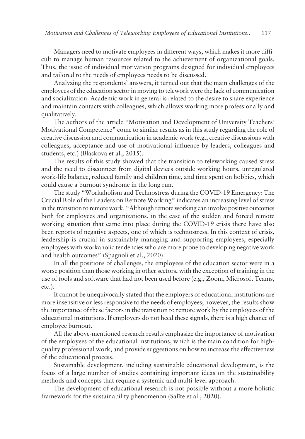Managers need to motivate employees in different ways, which makes it more difficult to manage human resources related to the achievement of organizational goals. Thus, the issue of individual motivation programs designed for individual employees and tailored to the needs of employees needs to be discussed.

Analyzing the respondents' answers, it turned out that the main challenges of the employees of the education sector in moving to telework were the lack of communication and socialization. Academic work in general is related to the desire to share experience and maintain contacts with colleagues, which allows working more professionally and qualitatively.

The authors of the article "Motivation and Development of University Teachers' Motivational Competence" come to similar results as in this study regarding the role of creative discussion and communication in academic work (e.g., creative discussions with colleagues, acceptance and use of motivational influence by leaders, colleagues and students, etc.) (Blaskova et al., 2015).

The results of this study showed that the transition to teleworking caused stress and the need to disconnect from digital devices outside working hours, unregulated work-life balance, reduced family and children time, and time spent on hobbies, which could cause a burnout syndrome in the long run.

The study "Workaholism and Technostress during the COVID-19 Emergency: The Crucial Role of the Leaders on Remote Working" indicates an increasing level of stress in the transition to remote work. "Although remote working can involve positive outcomes both for employees and organizations, in the case of the sudden and forced remote working situation that came into place during the COVID-19 crisis there have also been reports of negative aspects, one of which is technostress. In this context of crisis, leadership is crucial in sustainably managing and supporting employees, especially employees with workaholic tendencies who are more prone to developing negative work and health outcomes" (Spagnoli et al., 2020).

In all the positions of challenges, the employees of the education sector were in a worse position than those working in other sectors, with the exception of training in the use of tools and software that had not been used before (e.g., Zoom, Microsoft Teams, etc.).

It cannot be unequivocally stated that the employers of educational institutions are more insensitive or less responsive to the needs of employees; however, the results show the importance of these factors in the transition to remote work by the employees of the educational institutions. If employers do not heed these signals, there is a high chance of employee burnout.

All the above-mentioned research results emphasize the importance of motivation of the employees of the educational institutions, which is the main condition for highquality professional work, and provide suggestions on how to increase the effectiveness of the educational process.

Sustainable development, including sustainable educational development, is the focus of a large number of studies containing important ideas on the sustainability methods and concepts that require a systemic and multi-level approach.

The development of educational research is not possible without a more holistic framework for the sustainability phenomenon (Salīte et al., 2020).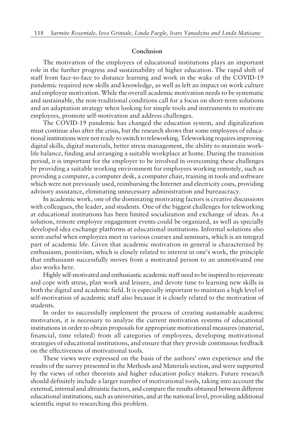#### **Conclusion**

The motivation of the employees of educational institutions plays an important role in the further progress and sustainability of higher education. The rapid shift of staff from face-to-face to distance learning and work in the wake of the COVID-19 pandemic required new skills and knowledge, as well as left an impact on work culture and employee motivation. While the overall academic motivation needs to be systematic and sustainable, the non-traditional conditions call for a focus on short-term solutions and an adaptation strategy when looking for simple tools and instruments to motivate employees, promote self-motivation and address challenges.

The COVID-19 pandemic has changed the education system, and digitalization must continue also after the crisis, but the research shows that some employees of educational institutions were not ready to switch to teleworking. Teleworking requires improving digital skills, digital materials, better stress management, the ability to maintain worklife balance, finding and arranging a suitable workplace at home. During the transition period, it is important for the employer to be involved in overcoming these challenges by providing a suitable working environment for employees working remotely, such as providing a computer, a computer desk, a computer chair, training in tools and software which were not previously used, reimbursing the Internet and electricity costs, providing advisory assistance, eliminating unnecessary administration and bureaucracy.

In academic work, one of the dominating motivating factors is creative discussions with colleagues, the leader, and students. One of the biggest challenges for teleworking at educational institutions has been limited socialization and exchange of ideas. As a solution, remote employee engagement events could be organized, as well as specially developed idea exchange platforms at educational institutions. Informal solutions also seem useful when employees meet in various courses and seminars, which is an integral part of academic life. Given that academic motivation in general is characterized by enthusiasm, positivism, which is closely related to interest in one's work, the principle that enthusiasm successfully moves from a motivated person to an unmotivated one also works here.

Highly self-motivated and enthusiastic academic staff need to be inspired to rejuvenate and cope with stress, plan work and leisure, and devote time to learning new skills in both the digital and academic field. It is especially important to maintain a high level of self-motivation of academic staff also because it is closely related to the motivation of students.

In order to successfully implement the process of creating sustainable academic motivation, it is necessary to analyze the current motivation systems of educational institutions in order to obtain proposals for appropriate motivational measures (material, financial, time related) from all categories of employees, developing motivational strategies of educational institutions, and ensure that they provide continuous feedback on the effectiveness of motivational tools.

These views were expressed on the basis of the authors' own experience and the results of the survey presented in the Methods and Materials section, and were supported by the views of other theorists and higher education policy makers. Future research should definitely include a larger number of motivational tools, taking into account the external, internal and altruistic factors, and compare the results obtained between different educational institutions, such as universities, and at the national level, providing additional scientific input to researching this problem.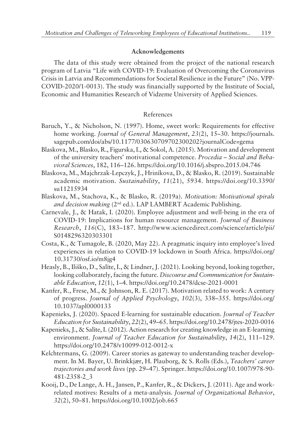#### **Acknowledgements**

The data of this study were obtained from the project of the national research program of Latvia "Life with COVID-19: Evaluation of Overcoming the Coronavirus Crisis in Latvia and Recommendations for Societal Resilience in the Future" (No. VPP-COVID-2020/1-0013). The study was financially supported by the Institute of Social, Economic and Humanities Research of Vidzeme University of Applied Sciences.

#### References

- Baruch, Y., & Nicholson, N. (1997). Home, sweet work: Requirements for effective home working. *Journal of General Management*, 23(2), 15–30. https://journals. sagepub.com/doi/abs/10.1177/030630709702300202?journalCode=gema
- Blaskova, M., Blasko, R., Figurska, I., & Sokol, A. (2015). Motivation and development of the university teachers' motivational competence. *Procedia – Social and Behavioral Sciences*, 182, 116–126. https://doi.org/10.1016/j.sbspro.2015.04.746
- Blaskova, M., Majchrzak-Lepczyk, J., Hriníkova, D., & Blasko, R. (2019). Sustainable academic motivation. *Sustainability*, *11*(21), 5934. https://doi.org/10.3390/ su11215934
- Blaskova, M., Stachova, K., & Blasko, R. (2019a). *Motivation: Motivational spirals* and decision making (2<sup>nd</sup> ed.). LAP LAMBERT Academic Publishing.
- Carnevale, J., & Hatak, I. (2020). Employee adjustment and well-being in the era of COVID-19: Implications for human resource management. *Journal of Business Research*, 116(C), 183-187. http://www.sciencedirect.com/science/article/pii/ S0148296320303301
- Costa, K., & Tumagole, B. (2020, May 22). A pragmatic inquiry into employee's lived experiences in relation to COVID-19 lockdown in South Africa. https://doi.org/ 10.31730/osf.io/m8jg4
- Heasly, B., Iliško, D., Salīte, I., & Lindner, J. (2021). Looking beyond, looking together, looking collaborately, facing the future. *Discourse and Communication for Sustainable Education*, 12(1), 1-4. https://doi.org/10.2478/dcse-2021-0001
- Kanfer, R., Frese, M., & Johnson, R. E. (2017). Motivation related to work: A century of progress. *Journal of Applied Psychology*, 102(3), 338–355. https://doi.org/ 10.1037/apl0000133
- Kapenieks, J. (2020). Spaced E-learning for sustainable education. *Journal of Teacher Education for Sustainability*, 22(2), 49–65. https://doi.org/10.2478/jtes-2020-0016
- Kapenieks, J., & Salīte, I. (2012). Action research for creating knowledge in an E-learning environment. *Journal of Teacher Education for Sustainability*, 14(2), 111-129. https://doi.org/10.2478/v10099-012-0012-x
- Kelchtermans, G. (2009). Career stories as gateway to understanding teacher development. In M. Bayer, U. Brinkkjær, H. Plauborg, & S. Rolls (Eds.), *Teachersí career trajectories and work lives* (pp. 29–47). Springer. https://doi.org/10.1007/978-90-481-2358-2\_3
- Kooij, D., De Lange, A. H., Jansen, P., Kanfer, R., & Dickers, J. (2011). Age and workrelated motives: Results of a meta-analysis. *Journal of Organizational Behavior*, 32(2), 50-81. https://doi.org/10.1002/job.665